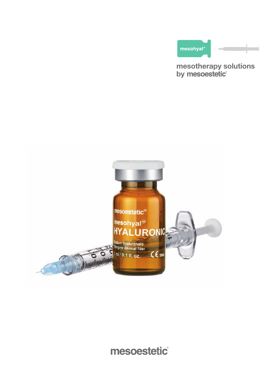

**mesotherapy solutions by**



mesoestetic®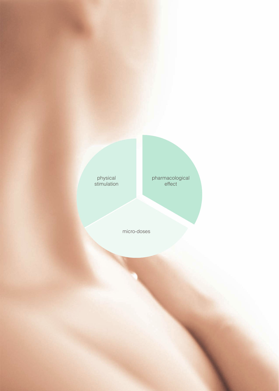physical stimulation

pharmacological effect

micro-doses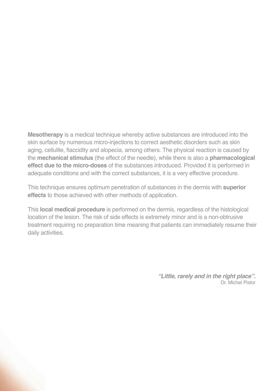**Mesotherapy** is a medical technique whereby active substances are introduced into the skin surface by numerous micro-injections to correct aesthetic disorders such as skin aging, cellulite, flaccidity and alopecia, among others. The physical reaction is caused by the **mechanical stimulus** (the effect of the needle), while there is also a **pharmacological effect due to the micro-doses** of the substances introduced. Provided it is performed in adequate conditions and with the correct substances, it is a very effective procedure.

This technique ensures optimum penetration of substances in the dermis with **superior effects** to those achieved with other methods of application.

This **local medical procedure** is performed on the dermis, regardless of the histological location of the lesion. The risk of side effects is extremely minor and is a non-obtrusive treatment requiring no preparation time meaning that patients can immediately resume their daily activities.

> *"Little, rarely and in the right place".* Dr. Michel Pistor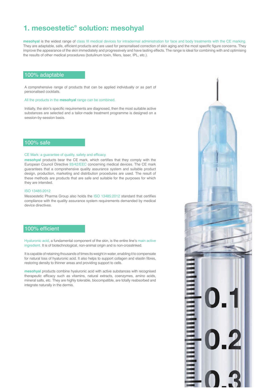# **1. mesoestetic® solution: mesohyal**

**mesohyal** is the widest range of class III medical devices for intradermal administration for face and body treatments with the CE marking. They are adaptable, safe, efficient products and are used for personalised correction of skin aging and the most specific figure concerns. They improve the appearance of the skin immediately and progressively and have lasting effects. The range is ideal for combining with and optimising the results of other medical procedures (botulinum toxin, fillers, laser, IPL, etc.).

## 100% adaptable

A comprehensive range of products that can be applied individually or as part of personalised cocktails.

#### All the products in the **mesohyal** range can be combined.

Initially, the skin's specific requirements are diagnosed, then the most suitable active substances are selected and a tailor-made treatment programme is designed on a session-by-session basis.

### 100% safe

#### CE Mark: a guarantee of quality, safety and efficacy.

**mesohyal** products bear the CE mark, which certifies that they comply with the European Council Directive 93/42/EEC concerning medical devices. The CE mark guarantees that a comprehensive quality assurance system and suitable product design, production, marketing and distribution procedures are used. The result of these methods are products that are safe and suitable for the purposes for which they are intended.

#### ISO 13485:2012

Mesoestetic Pharma Group also holds the ISO 13485:2012 standard that certifies compliance with the quality assurance system requirements demanded by medical device directives.

### 100% efficient

Hyaluronic acid, a fundamental component of the skin, is the entire line's main active ingredient. It is of biotechnological, non-animal origin and is non-crosslinked.

It is capable of retaining thousands of times its weight in water, enabling it to compensate for natural loss of hyaluronic acid. It also helps to support collagen and elastin fibres, restoring density to thinner areas and providing support to cells.

**mesohyal** products combine hyaluronic acid with active substances with recognised therapeutic efficacy such as vitamins, natural extracts, coenzymes, amino acids, mineral salts, etc. They are highly tolerable, biocompatible, are totally reabsorbed and integrate naturally in the dermis.

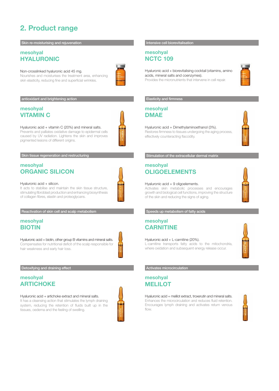# **2. Product range**

Skin re-moisturising and rejuvenation

# **mesohyal HYALURONIC**

#### Non-crosslinked hyaluronic acid 45 mg.

Nourishes and moisturises the treatment area, enhancing skin elasticity, reducing fine and superficial wrinkles.



# **mesohyal VITAMIN C**

### Hyaluronic acid + vitamin C (20%) and mineral salts.

Prevents and palliates oxidative damage to epidermal cells caused by UV radiation. Lightens the skin and improves pigmented lesions of different origins.

Skin tissue regeneration and restructuring

# **mesohyal ORGANIC SILICON**

Hyaluronic acid + silicon.

Reactivation of skin cell and scalp metabolism

of collagen fibres, elastin and proteoglycans.

It acts to stabilise and maintain the skin tissue structure. stimulating fibroblast production and enhancing biosynthesis

# **mesohyal BIOTIN**

Hyaluronic acid + biotin, other group B vitamins and mineral salts. Compensates for nutritional deficit of the scalp responsible for hair weakness and early hair loss.

Detoxifying and draining effect

# **mesohyal ARTICHOKE**

#### Hyaluronic acid + artichoke extract and mineral salts.

It has a cleansing action that stimulates the lymph draining system, reducing the retention of fluids built up in the tissues, oedema and the feeling of swelling.



#### Intensive cell biorevitalisation

# **mesohyal NCTC 109**

Hyaluronic acid + biorevitalising cocktail (vitamins, amino acids, mineral salts and coenzymes). Provides the micronutrients that intervene in cell repair.



## Elasticity and firmness

# **mesohyal DMAE**

#### Hyaluronic acid + Dimethylaminoethanol (3%).

Restores firmness to tissues undergoing the aging process, effectively counteracting flaccidity.



#### Stimulation of the extracellular dermal matrix

# **mesohyal OLIGOELEMENTS**

#### Hyaluronic acid + 9 oligoelements.

Activates skin metabolic processes and encourages growth and biological cell functions, improving the structure of the skin and reducing the signs of aging.



# **mesohyal CARNITINE**

#### Hyaluronic acid + L-carnitine (20%).

L-carnitine transports fatty acids to the mitochondria, where oxidation and subsequent energy release occur.

Activates microcirculation

# **mesohyal MELILOT**

#### Hyaluronic acid + melilot extract, troxerutin and mineral salts.

Enhances the microcirculation and reduces fluid retention. Encourages lymph draining and activates return venous flow.

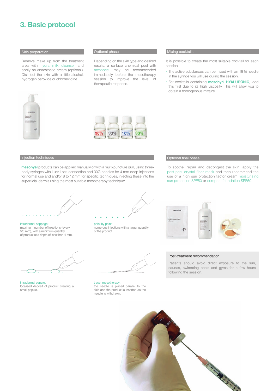# **3. Basic protocol**

#### Skin preparation

Remove make up from the treatment area with hydra milk cleanser and apply an anaesthetic cream (optional). Disinfect the skin with a little alcohol, hydrogen peroxide or chlorhexidine.

#### **Optional phase**

Depending on the skin type and desired results, a surface chemical peel with mesopeel may be recommended immediately before the mesotherapy session to improve the level of therapeutic response.

#### Mixing cocktails

It is possible to create the most suitable cocktail for each session.

- · The active substances can be mixed with an 18 G needle in the syringe you will use during the session.
- · For cocktails containing **mesohyal HYALURONIC**, load this first due to its high viscosity. This will allow you to obtain a homogenous mixture.





#### Injection techniques

**mesohyal** products can be applied manually or with a multi-puncture gun, using threebody syringes with Luer-Lock connection and 30G needles for 4 mm deep injections for normal use and and/or 8 to 12 mm for specific techniques, injecting these into the superficial dermis using the most suitable mesotherapy technique:



To soothe, repair and decongest the skin, apply the post-peel crystal fiber mask and then recommend the use of a high sun protection factor cream moisturising sun protection SPF50 or compact foundation SPF50.



intradermal nappage: maximum number of injections (every 5/6 mm), with a minimum quantity of product at a depth of less than 4 mm.



intradermal papule: localised deposit of product creating a small papule.

 $\bullet$  $\bullet$  $\bullet$ 

point by point: numerous injections with a larger quantity of the product.



tracer mesotherapy: the needle is placed parallel to the skin and the product is inserted as the needle is withdrawn.



#### Post-treatment recommendation

Patients should avoid direct exposure to the sun, saunas, swimming pools and gyms for a few hours following the session.

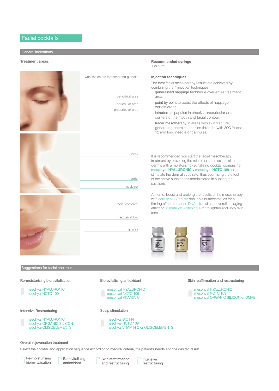# Facial cocktails

# General indications

#### **Treatment areas:**



#### **Recommended syringe:**

1 or 2 ml

#### **Injection techniques:**

The best facial mesotherapy results are achieved by combining the 4 injection techniques:

- · generalised nappage technique over entire treatment area.
- · point by point to boost the effects of nappage in certain areas.
- · intradermal papules in cheeks, preauricular area, corners of the mouth and facial contour.
- · tracer mesotherapy in areas with skin fracture generating chemical tension threads (with 30G ½ and 12 mm long needle or cannula).

It is recommended you start the facial mesotherapy treatment by providing the micro-nutrients essential to the dermis with a moisturising-revitalising cocktail comprising **mesohyal HYALURONIC** y **mesohyal NCTC 109**, to stimulate the dermal substrate, thus optimising the effect of the active substances administered in subsequent sessions.

At home, boost and prolong the results of the mesotherapy with collagen 360° elixir drinkable nutricosmetics for a firming effect, radiance DNA elixir with an overall antiaging effect or ultimate W<sup>+</sup> whitening elixir to lighten and unify skin tone.



#### Suggestions for facial cocktails

#### Re-moisturising biorevitalisation

mesohyal HYALURONIC mesohyal NCTC 109

Intensive Restructuring

mesohyal HYALURONIC mesohyal ORGANIC SILICON mesohyal OLIGOELEMENTS

#### Biorevitalising antioxidant

mesohyal HYALURONIC mesohyal NCTC 109 mesohyal VITAMIN C

Scalp stimulation

mesohyal BIOTIN mesohyal NCTC 109 mesohyal VITAMIN C or OLIGOELEMENTS

#### Overall rejuvenation treatment

Select the cocktail and application sequence according to medical criteria, the patient's needs and the desired result.

Re-moisturising biorevitalisation

Biorevitalising antioxidant

Skin reaffirmation and restructuring

Intensive restructuring

#### Skin reaffirmation and restructuring

mesohyal HYALURONIC mesohyal NCTC 109 mesohyal ORGANIC SILICON or DMAE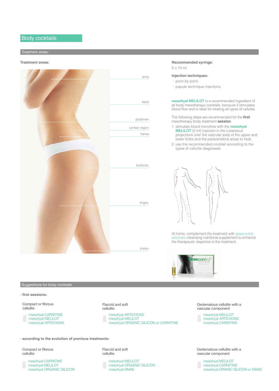## Body cocktails

#### Treatment areas:

#### **Treatment areas:**



#### Suggestions for body cocktails

**· first sessions:**

Compact or fibrous cellulite

mesohyal CARNITINE mesohyal MELILOT mesohyal ARTICHOKE Flaccid and soft cellulite

mesohyal ARTICHOKE mesohyal MELILOT mesohyal ORGANIC SILICON or CARNITINE

**· according to the evolution of previous treatments:**

Compact or fibrous cellulite

mesohyal CARNITINE mesohyal MELILOT mesohyal ORGANIC SILICON Flaccid and soft cellulite

mesohyal MELILOT mesohyal ORGANIC SILICON mesohyal DMAE

#### **Recommended syringe:**

5 o 10 ml

#### **Injection techniques:**

- · point by point.
- · papule technique injections.

**mesohyal MELILOT** is a recommended ingredient of all body mesotherapy cocktails, because it stimulates blood flow and is ideal for treating all types of cellulite.

The following steps are recommended for the **first** mesotherapy body treatment **session**:

- 1. stimulate blood microflow with the **mesohyal MELILOT** (2 ml) injection in the cutaneous projections over the vascular axes of the upper and lower limbs and the paravertebral areas to treat.
- 2. use the recommended cocktail according to the types of cellulite diagnosed.



At home, complement the treatment with grascontrol artichoke cleansing nutritional supplement to enhance the therapeutic response to the treatment.



Oedematous cellulite with a vascular component

mesohyal MELILOT mesohyal ARTICHOKE mesohyal CARNITINE

Oedematous cellulite with a vascular component

mesohyal MELILOT mesohyal CARNITINE mesohyal ORANIC SILICON or DMAE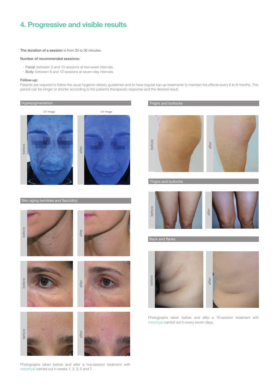# **4. Progressive and visible results**

**The duration of a session** is from 20 to 30 minutes.

#### **Number of recommended sessions:**

- · Facial: between 5 and 10 sessions at two-week intervals.
- · Body: between 8 and 12 sessions at seven-day intervals.

#### **Follow-up:**

Patients are required to follow the usual hygienic-dietary guidelines and to have regular top-up treatments to maintain the effects every 6 to 8 months. This period can be longer or shorter according to the patient's therapeutic response and the desired result.



mesohyal carried out in weeks 1, 2, 3, 5 and 7.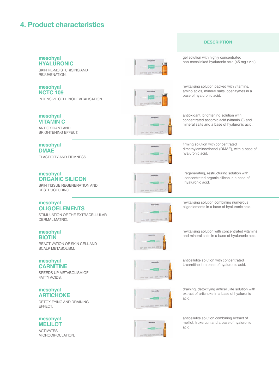# **4. Product characteristics**

### **DESCRIPTION**

| mesohyal<br><b>HYALURONIC</b><br>SKIN RE-MOISTURISING AND<br>REJUVENATION.                    |                                                   | gel solution with highly concentrated<br>non-crosslinked hyaluronic acid (45 mg / vial).                                             |
|-----------------------------------------------------------------------------------------------|---------------------------------------------------|--------------------------------------------------------------------------------------------------------------------------------------|
| mesohyal<br><b>NCTC 109</b><br>INTENSIVE CELL BIOREVITALISATION.                              |                                                   | revitalising solution packed with vitamins,<br>amino acids, mineral salts, coenzymes in a<br>base of hyaluronic acid.                |
| mesohyal<br>VITAMIN C<br><b>ANTIOXIDANT AND</b><br><b>BRIGHTENING EFFECT.</b>                 | 166<br>and and less trees                         | antioxidant, brightening solution with<br>concentrated ascorbic acid (vitamin C) and<br>mineral salts and a base of hyaluronic acid. |
| mesohyal<br><b>DMAE</b><br><b>ELASTICITY AND FIRMNESS.</b>                                    |                                                   | firming solution with concentrated<br>dimethylaminoethanol (DMAE), with a base of<br>hyaluronic acid.                                |
| mesohyal<br><b>ORGANIC SILICON</b><br><b>SKIN TISSUE REGENERATION AND</b><br>RESTRUCTURING.   | mmonstell                                         | regenerating, restructuring solution with<br>concentrated organic silicon in a base of<br>hyaluronic acid.                           |
| mesohyal<br><b>OLIGOELEMENTS</b><br>STIMULATION OF THE EXTRACELLULAR<br>DERMAL MATRIX.        |                                                   | revitalising solution combining numerous<br>oligoelements in a base of hyaluronic acid.                                              |
| mesohyal<br><b>BIOTIN</b><br><b>REACTIVATION OF SKIN CELL AND</b><br><b>SCALP METABOLISM.</b> | lengt and and site.                               | revitalising solution with concentrated vitamins<br>and mineral salts in a base of hyaluronic acid.                                  |
| mesohyal<br><b>CARNITINE</b><br>SPEEDS UP METABOLISM OF<br>FATTY ACIDS.                       | C<br>now meet once, near over                     | anticellulite solution with concentrated<br>L-carnitine in a base of hyaluronic acid.                                                |
| mesohyal<br><b>ARTICHOKE</b><br>DETOXIFYING AND DRAINING<br>EFFECT.                           | $\mathcal{L}_1$ and the state and $\mathcal{H}_2$ | draining, detoxifying anticellulite solution with<br>extract of artichoke in a base of hyaluronic<br>acid.                           |
| mesohyal<br><b>MELILOT</b><br><b>ACTIVATES</b><br>MICROCIRCULATION.                           |                                                   | anticellulite solution combining extract of<br>melilot, troxerutin and a base of hyaluronic<br>acid.                                 |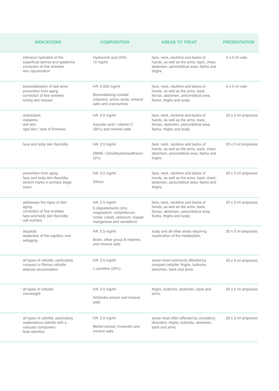| <b>INDICATIONS</b>                                                                                                              | <b>COMPOSITION</b>                                                                                                                | <b>AREAS TO TREAT</b>                                                                                                                       | <b>PRESENTATION</b>   |
|---------------------------------------------------------------------------------------------------------------------------------|-----------------------------------------------------------------------------------------------------------------------------------|---------------------------------------------------------------------------------------------------------------------------------------------|-----------------------|
| · intensive hydration of the<br>superficial dermis and epidermis<br>· correction of fine wrinkles<br>· skin rejuvenation        | Hyaluronic acid (HA):<br>15 mg/ml                                                                                                 | face, neck, neckline and backs of<br>hands, as well as the arms, back, chest,<br>abdomen, periumbilical area, flanks and<br>thighs.         | $5 \times 3$ ml vials |
| · biorevitalisation of dull skins<br>· prevention from aging<br>· correction of fine wrinkles<br>toning skin tissues            | HA: 0.025 mg/ml<br>Biorevitalising cocktail<br>(vitamins, amino acids, mineral<br>salts and coenzymes)                            | face, neck, neckline and backs of<br>hands, as well as the arms, back,<br>thorax, abdomen, periumbilical area,<br>flanks, thighs and scalp. | $5 \times 5$ ml vials |
| · antioxidant<br>· melasma<br>· dull skin<br>· rigid skin / lack of firmness                                                    | HA: 2.5 mg/ml<br>Ascorbic acid / vitamin C<br>(20%) and mineral salts                                                             | face, neck, neckline and backs of<br>hands, as well as the arms, back,<br>thorax, abdomen, periumbilical area,<br>flanks, thighs and scalp. | 20 x 5 ml ampoules    |
| · face and body skin flaccidity                                                                                                 | HA: 2.5 mg/ml<br>DMAE / Dimethylaminoethanol<br>(3%)                                                                              | face, neck, neckline and backs of<br>hands, as well as the arms, back, chest,<br>abdomen, periumbilical area, flanks and<br>thighs.         | 20 x 5 ml ampoules    |
| · prevention from aging<br>· face and body skin flaccidity<br>· stretch marks in primary stage<br>· scars                       | HA: 2.5 mg/ml<br>Silicon.                                                                                                         | face, neck, neckline and backs of<br>hands, as well as the arms, back, chest,<br>abdomen, periumbilical area, flanks and<br>thighs.         | 20 x 5 ml ampoules    |
| · addresses the signs of skin<br>aging.<br>· correction of fine wrinkles<br>· face and body skin flaccidity<br>· cell nutrition | HA: 2.5 mg/ml<br>9 oligoelements (zinc,<br>magnesium, molybdenum,<br>nickel, cobalt, selenium, copper,<br>manganese and vanadium) | face, neck, neckline and backs of<br>hands, as well as the arms, back,<br>thorax, abdomen, periumbilical area,<br>flanks, thighs and scalp. | 20 x 5 ml ampoules    |
| $\cdot$ alopecia<br>· weakness of the capillary root<br>· antiaging                                                             | HA: 2.5 mg/ml<br>Biotin, other group B vitamins<br>and mineral salts                                                              | scalp and all other areas requiring<br>reactivation of the metabolism.                                                                      | 20 x 2 ml ampoules    |
| · all types of cellulite, particularly<br>compact or fibrous cellulite.<br>· adipose accumulation                               | HA: 2.5 mg/ml<br>L-carnitine (20%)                                                                                                | areas most commonly affected by<br>compact cellulite: thighs, buttocks,<br>abdomen, back and arms.                                          | 20 x 5 ml ampoules    |
| · all types of cellulite<br>· overweight                                                                                        | HA: 2.5 mg/ml<br>Artichoke extract and mineral<br>salts                                                                           | thighs, buttocks, abdomen, back and<br>arms.                                                                                                | 20 x 5 ml ampoules    |
| · all types of cellulite, particularly<br>oedematous cellulite with a<br>vascular component<br>· fluid retention                | HA: 2.5 mg/ml<br>Melilot extract, troxerutin and<br>mineral salts                                                                 | areas most often affected by circulatory<br>disorders: thighs, buttocks, abdomen,<br>back and arms.                                         | 20 x 2 ml ampoules    |